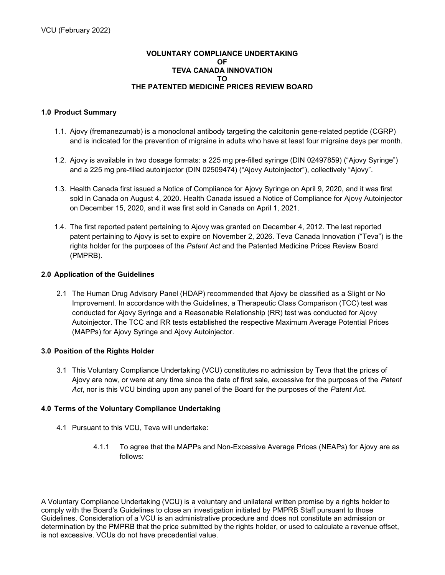## VOLUNTARY COMPLIANCE UNDERTAKING OF TEVA CANADA INNOVATION TO THE PATENTED MEDICINE PRICES REVIEW BOARD

# 1.0 Product Summary

- 1.1. Ajovy (fremanezumab) is a monoclonal antibody targeting the calcitonin gene-related peptide (CGRP) and is indicated for the prevention of migraine in adults who have at least four migraine days per month.
- 1.2. Ajovy is available in two dosage formats: a 225 mg pre-filled syringe (DIN 02497859) ("Ajovy Syringe") and a 225 mg pre-filled autoinjector (DIN 02509474) ("Ajovy Autoinjector"), collectively "Ajovy".
- 1.3. Health Canada first issued a Notice of Compliance for Ajovy Syringe on April 9, 2020, and it was first sold in Canada on August 4, 2020. Health Canada issued a Notice of Compliance for Ajovy Autoinjector on December 15, 2020, and it was first sold in Canada on April 1, 2021.
- 1.4. The first reported patent pertaining to Ajovy was granted on December 4, 2012. The last reported patent pertaining to Ajovy is set to expire on November 2, 2026. Teva Canada Innovation ("Teva") is the rights holder for the purposes of the Patent Act and the Patented Medicine Prices Review Board (PMPRB).

## 2.0 Application of the Guidelines

2.1 The Human Drug Advisory Panel (HDAP) recommended that Ajovy be classified as a Slight or No Improvement. In accordance with the Guidelines, a Therapeutic Class Comparison (TCC) test was conducted for Ajovy Syringe and a Reasonable Relationship (RR) test was conducted for Ajovy Autoinjector. The TCC and RR tests established the respective Maximum Average Potential Prices (MAPPs) for Ajovy Syringe and Ajovy Autoinjector.

## 3.0 Position of the Rights Holder

3.1 This Voluntary Compliance Undertaking (VCU) constitutes no admission by Teva that the prices of Ajovy are now, or were at any time since the date of first sale, excessive for the purposes of the Patent Act, nor is this VCU binding upon any panel of the Board for the purposes of the Patent Act.

## 4.0 Terms of the Voluntary Compliance Undertaking

- 4.1 Pursuant to this VCU, Teva will undertake:
	- 4.1.1 To agree that the MAPPs and Non-Excessive Average Prices (NEAPs) for Ajovy are as follows:

A Voluntary Compliance Undertaking (VCU) is a voluntary and unilateral written promise by a rights holder to comply with the Board's Guidelines to close an investigation initiated by PMPRB Staff pursuant to those Guidelines. Consideration of a VCU is an administrative procedure and does not constitute an admission or determination by the PMPRB that the price submitted by the rights holder, or used to calculate a revenue offset, is not excessive. VCUs do not have precedential value.